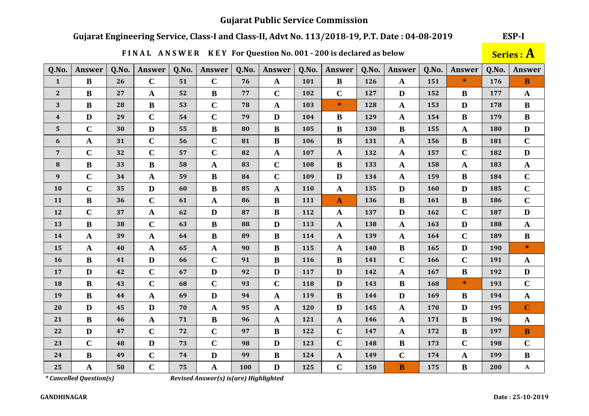# Gujarat Engineering Service, Class-I and Class-II, Advt No. 113/2018-19, P.T. Date: 04-08-2019

ESP-I

|                  |               |       |                       |       |               |       | FINAL ANSWER KEY For Question No. 001 - 200 is declared as below |       |              |       |                      |       |               |       | <b>Series : A</b> |
|------------------|---------------|-------|-----------------------|-------|---------------|-------|------------------------------------------------------------------|-------|--------------|-------|----------------------|-------|---------------|-------|-------------------|
| Q.No.            | <b>Answer</b> | Q.No. | <b>Answer</b>         | Q.No. | <b>Answer</b> | Q.No. | <b>Answer</b>                                                    | Q.No. | Answer       | Q.No. | <b>Answer</b>        | Q.No. | <b>Answer</b> | Q.No. | Answer            |
| $\mathbf{1}$     | $\bf{B}$      | 26    | $\mathbf C$           | 51    | $\mathbf C$   | 76    | $\mathbf{A}$                                                     | 101   | $\, {\bf B}$ | 126   | $\mathbf{A}$         | 151   | $\ast$        | 176   | $\bf{B}$          |
| 2                | $\bf{B}$      | 27    | $\mathbf A$           | 52    | $\bf{B}$      | 77    | $\mathbf C$                                                      | 102   | $\mathbf C$  | 127   | D                    | 152   | B             | 177   | $\mathbf{A}$      |
| 3                | $\bf{B}$      | 28    | $\bf{B}$              | 53    | $\mathbf C$   | 78    | $\mathbf{A}$                                                     | 103   | $\ast$       | 128   | $\mathbf A$          | 153   | D             | 178   | $\bf{B}$          |
| $\boldsymbol{4}$ | $\mathbf{D}$  | 29    | $\mathbf C$           | 54    | $\mathbf C$   | 79    | D                                                                | 104   | $\bf{B}$     | 129   | $\mathbf A$          | 154   | $\bf{B}$      | 179   | $\, {\bf B}$      |
| $5\phantom{.}$   | $\mathbf C$   | 30    | $\mathbf{D}$          | 55    | $\bf{B}$      | 80    | $\bf{B}$                                                         | 105   | $\bf{B}$     | 130   | $\bf{B}$             | 155   | $\mathbf{A}$  | 180   | $\mathbf{D}$      |
| 6                | $\mathbf A$   | 31    | $\mathbf C$           | 56    | $\mathbf C$   | 81    | $\bf{B}$                                                         | 106   | $\bf{B}$     | 131   | $\mathbf A$          | 156   | $\bf{B}$      | 181   | $\mathbf C$       |
| $7\overline{ }$  | $\mathbf C$   | 32    | $\mathbf C$           | 57    | $\mathbf C$   | 82    | $\mathbf A$                                                      | 107   | $\mathbf A$  | 132   | $\mathbf{A}$         | 157   | $\mathbf C$   | 182   | D                 |
| ${\bf 8}$        | $\bf{B}$      | 33    | $\bf{B}$              | 58    | $\mathbf A$   | 83    | $\mathbf C$                                                      | 108   | $\bf{B}$     | 133   | $\boldsymbol{\rm A}$ | 158   | $\mathbf{A}$  | 183   | $\mathbf A$       |
| 9                | $\mathbf C$   | 34    | $\mathbf{A}$          | 59    | $\bf{B}$      | 84    | $\mathbf C$                                                      | 109   | $\mathbf D$  | 134   | $\mathbf A$          | 159   | $\bf{B}$      | 184   | $\mathbf C$       |
| 10               | $\mathbf C$   | 35    | $\mathbf D$           | 60    | $\bf{B}$      | 85    | $\mathbf A$                                                      | 110   | $\mathbf A$  | 135   | D                    | 160   | D             | 185   | $\mathbf C$       |
| 11               | $\, {\bf B}$  | 36    | $\mathbf C$           | 61    | $\mathbf A$   | 86    | $\bf{B}$                                                         | 111   | $\mathbf{A}$ | 136   | $\, {\bf B}$         | 161   | $\bf{B}$      | 186   | $\mathbf C$       |
| 12               | $\mathbf C$   | 37    | $\mathbf{A}$          | 62    | D             | 87    | $\bf{B}$                                                         | 112   | $\mathbf{A}$ | 137   | D                    | 162   | $\mathbf C$   | 187   | $\mathbf{D}$      |
| 13               | $\, {\bf B}$  | 38    | $\mathbf C$           | 63    | $\bf{B}$      | 88    | D                                                                | 113   | $\mathbf A$  | 138   | $\mathbf{A}$         | 163   | D             | 188   | $\mathbf A$       |
| 14               | $\mathbf{A}$  | 39    | $\mathbf{A}$          | 64    | $\bf{B}$      | 89    | $\bf{B}$                                                         | 114   | $\mathbf{A}$ | 139   | $\mathbf{A}$         | 164   | $\mathbf C$   | 189   | $\bf{B}$          |
| 15               | $\mathbf{A}$  | 40    | $\mathbf A$           | 65    | $\mathbf A$   | 90    | B                                                                | 115   | $\mathbf A$  | 140   | $\bf{B}$             | 165   | D             | 190   | $\ast$            |
| 16               | $\, {\bf B}$  | 41    | $\mathbf D$           | 66    | $\mathbf C$   | 91    | $\bf{B}$                                                         | 116   | $\, {\bf B}$ | 141   | $\mathbf C$          | 166   | $\mathbf C$   | 191   | $\mathbf A$       |
| 17               | $\mathbf{D}$  | 42    | $\mathbf C$           | 67    | D             | 92    | $\mathbf{D}$                                                     | 117   | D            | 142   | $\mathbf{A}$         | 167   | $\bf{B}$      | 192   | $\mathbf{D}$      |
| 18               | $\bf{B}$      | 43    | $\mathbf C$           | 68    | $\mathbf C$   | 93    | $\mathbf C$                                                      | 118   | D            | 143   | $\bf{B}$             | 168   | $\ast$        | 193   | $\mathbf C$       |
| 19               | $\bf{B}$      | 44    | $\mathbf{A}$          | 69    | D             | 94    | $\mathbf A$                                                      | 119   | B            | 144   | D                    | 169   | $\bf{B}$      | 194   | $\mathbf A$       |
| 20               | $\mathbf{D}$  | 45    | $\mathbf D$           | 70    | $\mathbf{A}$  | 95    | $\mathbf A$                                                      | 120   | D            | 145   | $\mathbf{A}$         | 170   | D             | 195   | $\mathbf C$       |
| 21               | $\, {\bf B}$  | 46    | $\boldsymbol{\rm{A}}$ | 71    | $\bf{B}$      | 96    | $\mathbf A$                                                      | 121   | $\mathbf A$  | 146   | $\boldsymbol{\rm A}$ | 171   | $\bf{B}$      | 196   | $\mathbf A$       |
| 22               | $\mathbf{D}$  | 47    | $\mathbf C$           | 72    | $\mathbf C$   | 97    | $\bf{B}$                                                         | 122   | $\mathbf C$  | 147   | $\mathbf A$          | 172   | $\bf{B}$      | 197   | $\, {\bf B}$      |
| 23               | $\mathbf C$   | 48    | $\mathbf{D}$          | 73    | $\mathbf C$   | 98    | D                                                                | 123   | $\mathbf C$  | 148   | $\bf{B}$             | 173   | $\mathbf C$   | 198   | $\mathbf C$       |
| 24               | $\, {\bf B}$  | 49    | $\mathbf C$           | 74    | $\mathbf{D}$  | 99    | $\bf{B}$                                                         | 124   | $\mathbf A$  | 149   | $\mathbf C$          | 174   | $\mathbf A$   | 199   | $\, {\bf B}$      |
| 25               | $\mathbf{A}$  | 50    | $\mathbf C$           | 75    | A             | 100   | D                                                                | 125   | $\mathbf C$  | 150   | B                    | 175   | $\bf{B}$      | 200   | $\mathbf{A}$      |

## FINAL ANSWER KEY For Question No. 001 - 200 is declared as below

*\* Cancelled Question(s)*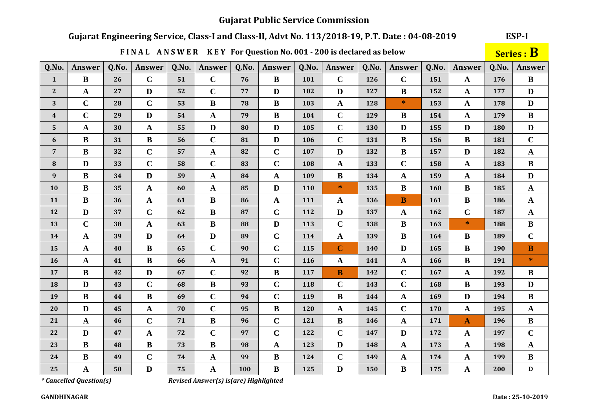# Gujarat Engineering Service, Class-I and Class-II, Advt No. 113/2018-19, P.T. Date: 04-08-2019

|                  |                       |       | FINAL ANSWER KEY For Question No. 001 - 200 is declared as below |       |              |       |              |       |                      |       |               |       |              |       | Series : B   |
|------------------|-----------------------|-------|------------------------------------------------------------------|-------|--------------|-------|--------------|-------|----------------------|-------|---------------|-------|--------------|-------|--------------|
| Q.No.            | Answer                | Q.No. | Answer                                                           | Q.No. | Answer       | Q.No. | Answer       | Q.No. | Answer               | Q.No. | <b>Answer</b> | Q.No. | Answer       | Q.No. | Answer       |
| $\mathbf{1}$     | $\bf{B}$              | 26    | $\mathbf C$                                                      | 51    | $\mathbf C$  | 76    | $\bf{B}$     | 101   | $\mathbf C$          | 126   | $\mathbf C$   | 151   | $\mathbf{A}$ | 176   | $\bf{B}$     |
| $\mathbf{2}$     | $\mathbf{A}$          | 27    | D                                                                | 52    | $\mathbf C$  | 77    | D            | 102   | D                    | 127   | $\bf{B}$      | 152   | $\mathbf{A}$ | 177   | $\mathbf{D}$ |
| 3                | $\mathbf C$           | 28    | $\mathbf C$                                                      | 53    | $\bf{B}$     | 78    | $\bf{B}$     | 103   | $\mathbf A$          | 128   | $\ast$        | 153   | $\mathbf A$  | 178   | $\mathbf{D}$ |
| $\boldsymbol{4}$ | $\mathbf C$           | 29    | $\mathbf{D}$                                                     | 54    | $\mathbf{A}$ | 79    | $\bf{B}$     | 104   | $\mathbf C$          | 129   | $\bf{B}$      | 154   | $\mathbf{A}$ | 179   | $\bf{B}$     |
| 5                | $\mathbf{A}$          | 30    | $\mathbf{A}$                                                     | 55    | $\mathbf D$  | 80    | $\mathbf{D}$ | 105   | $\mathbf C$          | 130   | D             | 155   | D            | 180   | $\mathbf{D}$ |
| 6                | $\bf{B}$              | 31    | $\bf{B}$                                                         | 56    | $\mathbf C$  | 81    | D            | 106   | $\mathbf C$          | 131   | $\bf{B}$      | 156   | $\bf{B}$     | 181   | $\mathbf C$  |
| $\overline{7}$   | $\bf{B}$              | 32    | $\mathbf C$                                                      | 57    | $\mathbf{A}$ | 82    | $\mathbf C$  | 107   | D                    | 132   | $\bf{B}$      | 157   | D            | 182   | $\mathbf A$  |
| ${\bf 8}$        | $\mathbf{D}$          | 33    | $\mathbf C$                                                      | 58    | $\mathbf C$  | 83    | $\mathbf C$  | 108   | $\boldsymbol{\rm A}$ | 133   | $\mathbf C$   | 158   | $\mathbf{A}$ | 183   | $\bf{B}$     |
| $\boldsymbol{9}$ | $\bf{B}$              | 34    | D                                                                | 59    | $\mathbf A$  | 84    | $\mathbf A$  | 109   | $\bf{B}$             | 134   | $\mathbf{A}$  | 159   | $\mathbf{A}$ | 184   | D            |
| 10               | $\bf{B}$              | 35    | ${\bf A}$                                                        | 60    | $\mathbf{A}$ | 85    | $\mathbf{D}$ | 110   | $*$                  | 135   | $\bf{B}$      | 160   | $\bf{B}$     | 185   | $\mathbf A$  |
| 11               | $\bf{B}$              | 36    | ${\bf A}$                                                        | 61    | $\bf{B}$     | 86    | $\mathbf A$  | 111   | $\mathbf A$          | 136   | $\mathbf{B}$  | 161   | $\bf{B}$     | 186   | $\mathbf A$  |
| 12               | D                     | 37    | $\mathbf C$                                                      | 62    | $\bf{B}$     | 87    | $\mathbf C$  | 112   | $\mathbf{D}$         | 137   | $\mathbf{A}$  | 162   | $\mathbf C$  | 187   | $\mathbf{A}$ |
| 13               | $\mathbf C$           | 38    | ${\bf A}$                                                        | 63    | $\bf{B}$     | 88    | D            | 113   | $\mathbf C$          | 138   | $\bf{B}$      | 163   | $\ast$       | 188   | $\bf{B}$     |
| 14               | $\mathbf{A}$          | 39    | $\mathbf{D}$                                                     | 64    | $\mathbf{D}$ | 89    | $\mathbf C$  | 114   | $\mathbf A$          | 139   | $\bf{B}$      | 164   | $\bf{B}$     | 189   | $\mathbf C$  |
| 15               | $\boldsymbol{\rm{A}}$ | 40    | $\bf{B}$                                                         | 65    | $\mathbf C$  | 90    | $\mathbf C$  | 115   | $\mathbf C$          | 140   | D             | 165   | $\bf{B}$     | 190   | $\bf{B}$     |
| 16               | $\mathbf{A}$          | 41    | $\bf{B}$                                                         | 66    | $\mathbf{A}$ | 91    | $\mathbf C$  | 116   | $\mathbf{A}$         | 141   | $\mathbf{A}$  | 166   | $\bf{B}$     | 191   | $\ast$       |
| 17               | $\bf{B}$              | 42    | $\mathbf{D}$                                                     | 67    | $\mathbf C$  | 92    | $\bf{B}$     | 117   | $\mathbf B$          | 142   | $\mathbf C$   | 167   | $\mathbf{A}$ | 192   | $\bf{B}$     |
| 18               | $\mathbf{D}$          | 43    | $\mathbf C$                                                      | 68    | $\mathbf{B}$ | 93    | $\mathbf C$  | 118   | $\mathbf C$          | 143   | $\mathbf C$   | 168   | $\, {\bf B}$ | 193   | $\mathbf{D}$ |
| 19               | $\bf{B}$              | 44    | $\bf{B}$                                                         | 69    | $\mathbf C$  | 94    | $\mathbf C$  | 119   | $\, {\bf B}$         | 144   | $\mathbf{A}$  | 169   | $\mathbf{D}$ | 194   | $\bf{B}$     |
| 20               | $\mathbf{D}$          | 45    | ${\bf A}$                                                        | 70    | $\mathbf C$  | 95    | $\bf{B}$     | 120   | $\mathbf A$          | 145   | $\mathbf C$   | 170   | $\mathbf A$  | 195   | $\mathbf A$  |
| 21               | $\mathbf{A}$          | 46    | $\mathbf C$                                                      | 71    | $\bf{B}$     | 96    | $\mathbf C$  | 121   | $\, {\bf B}$         | 146   | $\mathbf{A}$  | 171   | $\mathbf{A}$ | 196   | $\, {\bf B}$ |
| 22               | D                     | 47    | $\mathbf A$                                                      | 72    | $\mathbf C$  | 97    | $\mathbf C$  | 122   | $\mathbf C$          | 147   | D             | 172   | $\mathbf{A}$ | 197   | $\mathbf C$  |
| 23               | $\bf{B}$              | 48    | $\bf{B}$                                                         | 73    | $\bf{B}$     | 98    | $\mathbf A$  | 123   | D                    | 148   | $\mathbf{A}$  | 173   | $\mathbf{A}$ | 198   | $\mathbf A$  |
| 24               | $\bf{B}$              | 49    | $\mathbf C$                                                      | 74    | $\mathbf A$  | 99    | $\bf{B}$     | 124   | $\mathbf C$          | 149   | $\mathbf{A}$  | 174   | $\mathbf{A}$ | 199   | $\bf{B}$     |
| 25               | $\mathbf A$           | 50    | $\mathbf{D}$                                                     | 75    | $\mathbf{A}$ | 100   | $\bf{B}$     | 125   | $\mathbf{D}$         | 150   | $\bf{B}$      | 175   | $\mathbf A$  | 200   | $\mathbf D$  |

*\* Cancelled Question(s)*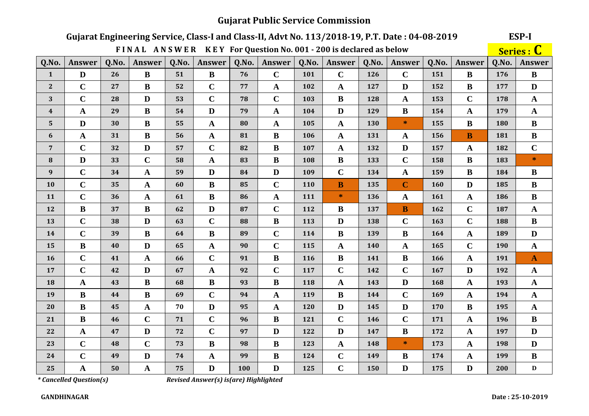#### **ESP-I** Gujarat Engineering Service, Class-I and Class-II, Advt No. 113/2018-19, P.T. Date: 04-08-2019 Series : C FINAL ANSWER KEY For Question No. 001 - 200 is declared as below **Answer**  $Q.No.$ Answer  $Q.No.$ **Answer**  $Q.No.$ Answer  $Q.No.$  $Q.No.$ **Answer** Q.No. Answer  $Q.No.$ **Answer** Q.No. Answer 76  $\mathbf C$ D  $26$  $51$  $\mathbf C$ 126 176  $\mathbf{1}$  $\bf{B}$  $\bf{B}$ 101  $\mathbf C$ 151  $\bf{B}$  $\bf{B}$  $\mathbf C$  $\bf{B}$  $\mathbf C$  $\bf{B}$ D  $\overline{2}$ 27 52 77  $\mathbf{A}$ 102  $\mathbf{A}$ 127 D 152 177  $\mathbf C$  $\mathbf C$  $\mathbf C$  $\mathbf{D}$  $\mathbf C$  $\overline{\mathbf{B}}$  $\mathbf{A}$ 3 28 53 78 103 128 153 178  $\mathbf{A}$  $\bf{B}$ D  $\bf{B}$  $\mathbf{A}$ D 129  $\mathbf{A}$  $\boldsymbol{4}$ 29 54 79  $\mathbf{A}$ 104 154 179  $\mathbf{A}$ 5 D  $\bf{B}$  $\ast$  $\bf{B}$  $\bf{B}$ 30 55  $\mathbf{A}$ 80  $\mathbf{A}$ 105  $\mathbf{A}$ 130 155 180  $\bf{B}$ 56  $\bf{B}$  $\overline{B}$  $\bf{B}$ 6  $\mathbf{A}$ 31  $\mathbf{A}$ 81 106  $\mathbf{A}$ 131  $\mathbf{A}$ 156 181  $\mathbf C$  $\mathbf C$ D D  $\mathbf C$  $\bf{B}$  $7\overline{ }$ 32 57 82 107  $\mathbf{A}$ 132 157  $\mathbf{A}$ 182  $\mathbf C$  $\mathbf{D}$  $\mathbf{A}$  $\mathbf{R}$  $\mathbf{B}$  $\mathbf C$  $\mathbf{R}$  $\star$ 8 33 58 83 108 133 158 183  $\mathbf C$ 9 34  $\mathbf{D}$  $\mathbf C$  $\mathbf{A}$  $\bf{B}$  $\bf{B}$  $\mathbf{A}$ 59 84 D 109 134 159 184  $\mathbf{D}$  $\mathbf C$  $\mathbf{A}$ B  $\mathbf C$ B  $\mathbf C$  $\bf{B}$ **10** 35 60 85 110 135 160 185 11  $\mathbf C$ 36  $\mathbf{A}$ 61  $\bf{B}$ 86  $\mathbf{A}$  $\star$ 136  $\mathbf{A}$ 161  $\mathbf{A}$ 186  $\bf{B}$ 111  $\mathbf C$  $\mathbf{D}$  $\mathbf C$ 12  $\bf{B}$ 37  $\bf{B}$ 62 87 112 B 137 B 162 187  $\mathbf{A}$  $\mathbf C$  $\mathbf C$  $\mathbf C$  $\mathbf C$ 38 D  $\bf{B}$  $\mathbf{D}$ 163  $\bf{B}$ 13 63 88 113 138 188  $\mathbf C$  $\bf{B}$  $\mathbf{B}$  $\mathbf C$  $\mathbf{B}$  $\overline{\mathbf{B}}$ 164  $\mathbf{A}$  $\mathbf{D}$ 14 39 64  $RQ$ 114 139 189  $\mathbf C$ 15  $\bf{B}$ 40 D 65  $\mathbf{A}$ 90  $\mathbf C$ 115  $\mathbf{A}$ 140  $\mathbf{A}$ 165 190  $\mathbf{A}$  $\mathbf C$  $\mathbf C$  $\mathbf{A}$ 91  $\bf{B}$  $\mathbf{B}$  $\bf{B}$ 166  $\mathbf{A}$ 191 16 41 66 116 141  $\mathbf{A}$  $\mathbf C$  $\mathbf C$  $\mathbf C$ D 17 42 D 67  $\mathbf{A}$ 92 117  $\mathbf C$ 142 167 192  $\mathbf{A}$  $\mathbf{D}$  $\bf{B}$  $\bf{B}$ 18  $\mathbf{A}$ 43 68 93  $\mathbf{R}$ 118  $\mathbf{A}$ 143 168  $\mathbf{A}$ 193  $\mathbf{A}$  $\mathbf{B}$  $\mathbf{B}$  $\mathbf C$  $\mathbf C$  $\mathbf{R}$ 19 44 69 94  $\mathbf{A}$ 119 144 169  $\mathbf{A}$ 194  $\mathbf{A}$  $\bf{B}$  $\mathbf{A}$ 70 D 95  $\mathbf{D}$  $\mathbf{D}$  $\bf{B}$ 195 20 45  $\mathbf{A}$ 120 145 170  $\mathbf{A}$  $\bf{B}$  $\mathbf C$  $\mathbf C$  $\mathbf C$  $\mathbf C$  $\bf{B}$ 21 46 71 96  $\bf{B}$ 121 146 171  $\mathbf{A}$ 196  $\mathbf C$  $\mathbf{D}$  $\overline{B}$  $\mathbf{D}$  $\mathbf{A}$  $\mathbf{D}$  $\mathbf{D}$ 22 47 72 97 122 147 172  $\mathbf{A}$ 197  $\mathbf C$  $\mathbf C$  $\ast$ D R  $\bf{B}$  $\mathbf{A}$ 23 48 73 98 123  $\mathbf{A}$ 148 173 198  $\overline{C}$  $\mathbf{D}$  $\mathbf{B}$  $\mathbf C$  $\overline{\mathbf{B}}$  $\bf{B}$ 24 49 74  $\mathbf{A}$ 99 124 149 174  $\mathbf{A}$ 199 25 75  $\mathbf C$  $50$ D 100  $\mathbf{D}$ 125 150 D 175 D 200 D  $\mathbf{A}$  $\mathbf{A}$

*\* Cancelled Question(s)*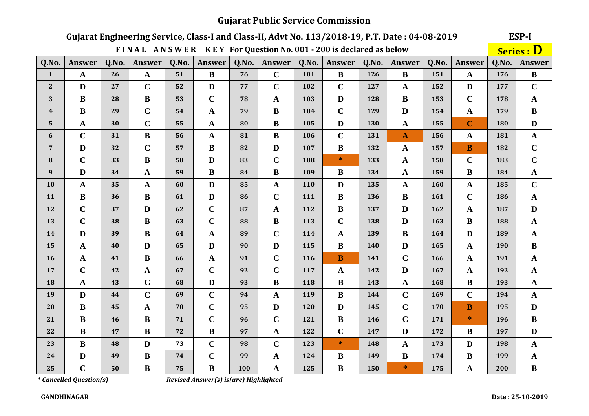# Gujarat Engineering Service, Class-I and Class-II, Advt No. 113/2018-19, P.T. Date: 04-08-2019

ESP-I

|                  |               |       | FINAL ANSWER KEY For Question No. 001 - 200 is declared as below |       |                       |       |              |       |              |       |               |       |                         |       | <b>Series : D</b> |
|------------------|---------------|-------|------------------------------------------------------------------|-------|-----------------------|-------|--------------|-------|--------------|-------|---------------|-------|-------------------------|-------|-------------------|
| Q.No.            | <b>Answer</b> | Q.No. | Answer                                                           | Q.No. | <b>Answer</b>         | Q.No. | Answer       | Q.No. | Answer       | Q.No. | <b>Answer</b> | Q.No. | Answer                  | Q.No. | <b>Answer</b>     |
| $\mathbf{1}$     | $\mathbf{A}$  | 26    | $\mathbf{A}$                                                     | 51    | $\bf{B}$              | 76    | $\mathbf C$  | 101   | $\bf{B}$     | 126   | $\bf{B}$      | 151   | $\mathbf{A}$            | 176   | $\bf{B}$          |
| $\mathbf{2}$     | D             | 27    | $\mathbf C$                                                      | 52    | $\mathbf{D}$          | 77    | $\mathbf C$  | 102   | $\mathbf C$  | 127   | $\mathbf A$   | 152   | $\mathbf{D}$            | 177   | $\mathbf C$       |
| 3                | $\bf{B}$      | 28    | $\bf{B}$                                                         | 53    | $\mathbf C$           | 78    | $\mathbf{A}$ | 103   | $\mathbf{D}$ | 128   | $\bf{B}$      | 153   | $\mathbf C$             | 178   | $\mathbf{A}$      |
| $\boldsymbol{4}$ | $\bf{B}$      | 29    | $\mathbf C$                                                      | 54    | $\mathbf{A}$          | 79    | $\bf{B}$     | 104   | $\mathbf C$  | 129   | D             | 154   | $\mathbf{A}$            | 179   | $\bf{B}$          |
| $5\phantom{.0}$  | $\mathbf A$   | 30    | $\mathbf C$                                                      | 55    | $\mathbf{A}$          | 80    | $\bf{B}$     | 105   | $\mathbf D$  | 130   | $\mathbf{A}$  | 155   | $\mathbf C$             | 180   | $\mathbf D$       |
| 6                | $\mathbf C$   | 31    | $\bf{B}$                                                         | 56    | $\mathbf A$           | 81    | $\bf{B}$     | 106   | $\mathbf C$  | 131   | $\mathbf{A}$  | 156   | $\mathbf A$             | 181   | $\mathbf{A}$      |
| $\overline{7}$   | $\mathbf{D}$  | 32    | $\mathbf C$                                                      | 57    | $\bf{B}$              | 82    | $\mathbf{D}$ | 107   | $\, {\bf B}$ | 132   | $\mathbf A$   | 157   | $\overline{\mathbf{B}}$ | 182   | $\mathbf C$       |
| 8                | $\mathbf C$   | 33    | $\bf{B}$                                                         | 58    | $\mathbf{D}$          | 83    | $\mathbf C$  | 108   | $\ast$       | 133   | $\mathbf A$   | 158   | $\mathbf C$             | 183   | $\mathbf C$       |
| $\boldsymbol{9}$ | $\mathbf D$   | 34    | $\mathbf A$                                                      | 59    | $\bf{B}$              | 84    | $\bf{B}$     | 109   | $\, {\bf B}$ | 134   | $\mathbf A$   | 159   | $\bf{B}$                | 184   | $\mathbf{A}$      |
| 10               | $\mathbf{A}$  | 35    | $\mathbf{A}$                                                     | 60    | D                     | 85    | $\mathbf{A}$ | 110   | $\mathbf{D}$ | 135   | $\mathbf{A}$  | 160   | $\mathbf{A}$            | 185   | $\mathbf C$       |
| 11               | $\bf{B}$      | 36    | $\bf{B}$                                                         | 61    | D                     | 86    | $\mathbf C$  | 111   | $\bf{B}$     | 136   | $\bf{B}$      | 161   | $\mathbf C$             | 186   | $\mathbf{A}$      |
| 12               | $\mathbf C$   | 37    | $\mathbf{D}$                                                     | 62    | $\mathbf C$           | 87    | $\mathbf A$  | 112   | $\, {\bf B}$ | 137   | D             | 162   | $\mathbf{A}$            | 187   | $\mathbf{D}$      |
| 13               | $\mathbf C$   | 38    | $\bf{B}$                                                         | 63    | $\mathbf C$           | 88    | $\bf{B}$     | 113   | $\mathbf C$  | 138   | D             | 163   | $\bf{B}$                | 188   | ${\bf A}$         |
| 14               | $\mathbf{D}$  | 39    | $\, {\bf B}$                                                     | 64    | $\boldsymbol{\rm{A}}$ | 89    | $\mathbf C$  | 114   | $\mathbf{A}$ | 139   | $\bf{B}$      | 164   | $\mathbf{D}$            | 189   | $\mathbf{A}$      |
| 15               | $\mathbf{A}$  | 40    | $\mathbf{D}$                                                     | 65    | $\mathbf{D}$          | 90    | D            | 115   | $\bf{B}$     | 140   | D             | 165   | $\mathbf{A}$            | 190   | $\bf{B}$          |
| 16               | $\mathbf{A}$  | 41    | $\, {\bf B}$                                                     | 66    | $\mathbf A$           | 91    | $\mathbf C$  | 116   | $\mathbf{B}$ | 141   | $\mathbf C$   | 166   | $\mathbf{A}$            | 191   | $\mathbf{A}$      |
| 17               | $\mathbf C$   | 42    | $\mathbf{A}$                                                     | 67    | $\mathbf C$           | 92    | $\mathbf C$  | 117   | $\mathbf{A}$ | 142   | D             | 167   | $\mathbf{A}$            | 192   | $\mathbf{A}$      |
| 18               | $\mathbf{A}$  | 43    | $\mathbf C$                                                      | 68    | $\mathbf{D}$          | 93    | $\bf{B}$     | 118   | $\bf{B}$     | 143   | $\mathbf A$   | 168   | $\bf{B}$                | 193   | ${\bf A}$         |
| 19               | $\mathbf D$   | 44    | $\mathbf C$                                                      | 69    | $\mathbf C$           | 94    | $\mathbf A$  | 119   | $\, {\bf B}$ | 144   | $\mathbf C$   | 169   | $\mathbf C$             | 194   | $\mathbf{A}$      |
| 20               | $\bf{B}$      | 45    | ${\bf A}$                                                        | 70    | $\mathbf C$           | 95    | D            | 120   | $\mathbf{D}$ | 145   | $\mathbf C$   | 170   | $\mathbf{B}$            | 195   | $\mathbf{D}$      |
| 21               | $\bf{B}$      | 46    | $\bf{B}$                                                         | 71    | $\mathbf C$           | 96    | $\mathbf C$  | 121   | $\bf{B}$     | 146   | $\mathbf C$   | 171   | $\ast$                  | 196   | $\bf{B}$          |
| 22               | $\bf{B}$      | 47    | $\bf{B}$                                                         | 72    | $\bf{B}$              | 97    | $\mathbf A$  | 122   | $\mathbf C$  | 147   | $\mathbf{D}$  | 172   | $\bf{B}$                | 197   | $\mathbf{D}$      |
| 23               | $\bf{B}$      | 48    | $\mathbf{D}$                                                     | 73    | $\mathbf C$           | 98    | $\mathbf C$  | 123   | $\ast$       | 148   | $\mathbf A$   | 173   | D                       | 198   | $\mathbf{A}$      |
| 24               | $\mathbf D$   | 49    | $\, {\bf B}$                                                     | 74    | $\mathbf C$           | 99    | $\mathbf A$  | 124   | $\bf{B}$     | 149   | $\bf{B}$      | 174   | $\bf{B}$                | 199   | $\mathbf{A}$      |
| 25               | $\mathbf C$   | 50    | $\bf{B}$                                                         | 75    | $\bf{B}$              | 100   | A            | 125   | B            | 150   | $\ast$        | 175   | $\mathbf A$             | 200   | $\bf{B}$          |

*\* Cancelled Question(s)*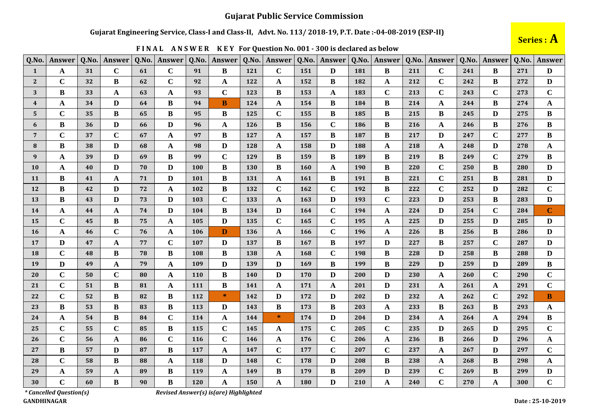#### Gujarat Engineering Service, Class-I and Class-II, Advt. No. 113/2018-19, P.T. Date:-04-08-2019 (ESP-II)

| Q.No.                   | Answer      | Q.No. | Answer       | Q.No. | <b>Answer</b> | Q.No. | Answer       | Q.No.      | Answer       | Q.No. | Answer       | Q.No. | Answer       | Q.No. | Answer      | Q.No.      | Answer      | Q.No. | <b>Answer</b> |
|-------------------------|-------------|-------|--------------|-------|---------------|-------|--------------|------------|--------------|-------|--------------|-------|--------------|-------|-------------|------------|-------------|-------|---------------|
| 1                       | A           | 31    | $\mathbf C$  | 61    | $\mathbf C$   | 91    | B            | 121        | $\mathbf C$  | 151   | D            | 181   | B            | 211   | $\mathbf C$ | 241        | B           | 271   | D             |
| $\overline{2}$          | $\mathbf C$ | 32    | B            | 62    | $\mathbf C$   | 92    | $\mathbf{A}$ | 122        | $\mathbf{A}$ | 152   | $\bf{B}$     | 182   | $\mathbf{A}$ | 212   | $\mathbf C$ | 242        | B           | 272   | D             |
| 3                       | B           | 33    | A            | 63    | $\mathbf{A}$  | 93    | $\mathbf C$  | 123        | B            | 153   | A            | 183   | $\mathbf C$  | 213   | $\mathbf C$ | 243        | $\mathbf C$ | 273   | $\mathbf C$   |
| $\overline{\mathbf{4}}$ | A           | 34    | D            | 64    | B             | 94    | B            | 124        | A            | 154   | $\bf{B}$     | 184   | $\bf{B}$     | 214   | A           | 244        | B           | 274   | $\mathbf A$   |
| 5                       | $\mathbf C$ | 35    | B            | 65    | B             | 95    | B            | 125        | $\mathbf C$  | 155   | B            | 185   | B            | 215   | B           | 245        | D           | 275   | B             |
| 6                       | B           | 36    | D            | 66    | D             | 96    | A            | <b>126</b> | B            | 156   | $\mathbf C$  | 186   | B            | 216   | A           | 246        | B           | 276   | B             |
| $\overline{7}$          | $\mathbf C$ | 37    | $\mathbf C$  | 67    | $\mathbf A$   | 97    | B            | 127        | $\mathbf{A}$ | 157   | B            | 187   | $\bf{B}$     | 217   | D           | 247        | $\mathbf C$ | 277   | $\bf{B}$      |
| 8                       | B           | 38    | D            | 68    | $\mathbf{A}$  | 98    | D            | 128        | A            | 158   | D            | 188   | $\mathbf{A}$ | 218   | A           | 248        | D           | 278   | A             |
| 9                       | A           | 39    | D            | 69    | B             | 99    | $\mathbf C$  | 129        | B            | 159   | B            | 189   | B            | 219   | B           | 249        | $\mathbf C$ | 279   | B             |
| 10                      | $\mathbf A$ | 40    | D            | 70    | D             | 100   | B            | 130        | B            | 160   | A            | 190   | B            | 220   | $\mathbf C$ | 250        | B           | 280   | D             |
| 11                      | B           | 41    | A            | 71    | D             | 101   | B            | 131        | A            | 161   | B            | 191   | $\bf{B}$     | 221   | $\mathbf C$ | 251        | B           | 281   | D             |
| 12                      | B           | 42    | D            | 72    | A             | 102   | $\bf{B}$     | 132        | $\mathbf C$  | 162   | $\mathbf C$  | 192   | $\bf{B}$     | 222   | $\mathbf C$ | 252        | D           | 282   | $\mathbf C$   |
| <b>13</b>               | B           | 43    | D            | 73    | $\mathbf{D}$  | 103   | $\mathbf C$  | 133        | A            | 163   | D            | 193   | $\mathbf C$  | 223   | D           | 253        | B           | 283   | D             |
| 14                      | A           | 44    | A            | 74    | D             | 104   | B            | 134        | D            | 164   | $\mathbf C$  | 194   | A            | 224   | D           | 254        | $\mathbf C$ | 284   | $\mathbf C$   |
| 15                      | $\mathbf C$ | 45    | B            | 75    | $\mathbf A$   | 105   | D            | 135        | $\mathbf C$  | 165   | $\mathbf C$  | 195   | $\mathbf{A}$ | 225   | D           | 255        | D           | 285   | D             |
| <b>16</b>               | $\mathbf A$ | 46    | $\mathbf C$  | 76    | A             | 106   | D            | 136        | A            | 166   | $\mathbf C$  | 196   | A            | 226   | B           | 256        | B           | 286   | D             |
| 17                      | D           | 47    | A            | 77    | $\mathbf C$   | 107   | D            | 137        | B            | 167   | $\bf{B}$     | 197   | $\mathbf{D}$ | 227   | B           | 257        | $\mathbf C$ | 287   | D             |
| <b>18</b>               | $\mathbf C$ | 48    | B            | 78    | $\bf{B}$      | 108   | B            | 138        | A            | 168   | $\mathbf C$  | 198   | $\bf{B}$     | 228   | D           | 258        | B           | 288   | $\mathbf{D}$  |
| 19                      | D           | 49    | $\mathbf{A}$ | 79    | $\mathbf A$   | 109   | D            | 139        | D            | 169   | B            | 199   | $\bf{B}$     | 229   | D           | 259        | D           | 289   | $\bf{B}$      |
| 20                      | $\mathbf C$ | 50    | $\mathbf C$  | 80    | $\mathbf A$   | 110   | B            | <b>140</b> | D            | 170   | D            | 200   | D            | 230   | A           | <b>260</b> | $\mathbf C$ | 290   | $\mathbf C$   |
| 21                      | $\mathbf C$ | 51    | B            | 81    | $\mathbf A$   | 111   | B            | 141        | A            | 171   | A            | 201   | D            | 231   | A           | 261        | A           | 291   | $\mathbf C$   |
| 22                      | $\mathbf C$ | 52    | B            | 82    | B             | 112   | $\ast$       | 142        | D            | 172   | D            | 202   | D            | 232   | A           | 262        | $\mathbf C$ | 292   | B             |
| 23                      | $\bf{B}$    | 53    | B            | 83    | $\bf{B}$      | 113   | D            | 143        | B            | 173   | $\bf{B}$     | 203   | $\mathbf{A}$ | 233   | $\bf{B}$    | 263        | B           | 293   | $\mathbf A$   |
| 24                      | A           | 54    | B            | 84    | $\mathbf C$   | 114   | A            | 144        | $\ast$       | 174   | D            | 204   | D            | 234   | A           | 264        | A           | 294   | B             |
| 25                      | $\mathbf C$ | 55    | $\mathbf C$  | 85    | $\bf{B}$      | 115   | $\mathbf C$  | 145        | A            | 175   | $\mathbf C$  | 205   | $\mathbf C$  | 235   | D           | 265        | D           | 295   | $\mathbf C$   |
| 26                      | $\mathbf C$ | 56    | A            | 86    | $\mathbf C$   | 116   | $\mathbf C$  | 146        | A            | 176   | $\mathbf C$  | 206   | A            | 236   | B           | 266        | D           | 296   | A             |
| 27                      | B           | 57    | D            | 87    | $\bf{B}$      | 117   | A            | 147        | $\mathbf C$  | 177   | $\mathbf C$  | 207   | $\mathbf C$  | 237   | A           | 267        | D           | 297   | $\mathbf C$   |
| 28                      | $\mathbf C$ | 58    | B            | 88    | $\mathbf A$   | 118   | D            | 148        | $\mathbf C$  | 178   | $\mathbf{D}$ | 208   | $\bf{B}$     | 238   | $\mathbf A$ | 268        | B           | 298   | $\mathbf A$   |
| 29                      | A           | 59    | A            | 89    | B             | 119   | A            | 149        | B            | 179   | B            | 209   | $\mathbf{D}$ | 239   | $\mathbf C$ | 269        | B           | 299   | D             |
| 30                      | $\mathbf C$ | 60    | B            | 90    | $\bf{B}$      | 120   | A            | 150        | A            | 180   | D            | 210   | $\mathbf{A}$ | 240   | $\mathbf C$ | 270        | A           | 300   | $\mathbf C$   |

FINAL ANSWER KEY For Question No. 001 - 300 is declared as below



 $*$  Cancelled Question(s) **GANDHINAGAR**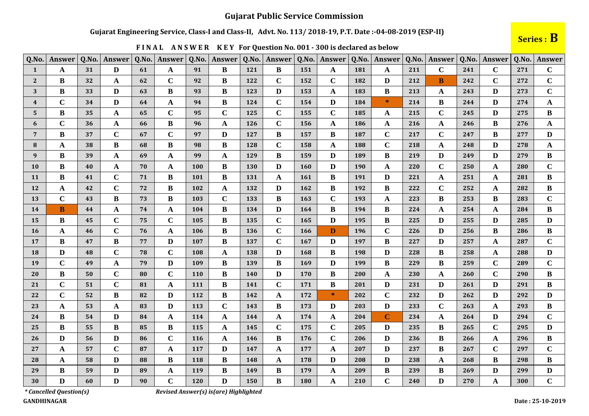#### Gujarat Engineering Service, Class-I and Class-II, Advt. No. 113/2018-19, P.T. Date:-04-08-2019 (ESP-II)

FINAL ANSWER KEY For Question No. 001 - 300 is declared as below

| Q.No.                   | Answer      | Q.No. | Answer      | Q.No. | Answer       | Q.No.      | Answer       | Q.No.      | Answer       | Q.No.      | Answer       | Q.No.      | Answer       | Q.No. | Answer       | Q.No. | Answer       | Q.No. | Answer       |
|-------------------------|-------------|-------|-------------|-------|--------------|------------|--------------|------------|--------------|------------|--------------|------------|--------------|-------|--------------|-------|--------------|-------|--------------|
| 1                       | A           | 31    | D           | 61    | $\mathbf{A}$ | 91         | B            | 121        | B            | 151        | A            | 181        | A            | 211   | $\mathbf C$  | 241   | $\mathbf C$  | 271   | $\mathbf C$  |
| $\mathbf{2}$            | B           | 32    | A           | 62    | $\mathbf C$  | 92         | B            | 122        | $\mathbf C$  | 152        | $\mathbf C$  | 182        | D            | 212   | B            | 242   | $\mathbf C$  | 272   | $\mathbf C$  |
| 3                       | B           | 33    | D           | 63    | B            | 93         | B            | 123        | D            | 153        | $\mathbf A$  | 183        | $\bf{B}$     | 213   | $\mathbf{A}$ | 243   | D            | 273   | $\mathbf C$  |
| $\overline{\mathbf{4}}$ | $\mathbf C$ | 34    | D           | 64    | $\mathbf A$  | 94         | B            | 124        | $\mathbf C$  | 154        | D            | 184        | $\ast$       | 214   | B            | 244   | D            | 274   | $\mathbf{A}$ |
| 5                       | B           | 35    | A           | 65    | $\mathbf C$  | 95         | $\mathbf C$  | 125        | $\mathbf C$  | 155        | $\mathbf C$  | 185        | A            | 215   | $\mathbf C$  | 245   | D            | 275   | B            |
| 6                       | $\mathbf C$ | 36    | A           | 66    | $\bf{B}$     | 96         | A            | 126        | $\mathbf C$  | 156        | $\mathbf A$  | 186        | A            | 216   | A            | 246   | $\bf{B}$     | 276   | $\mathbf A$  |
| $\overline{7}$          | B           | 37    | $\mathbf C$ | 67    | $\mathbf C$  | 97         | D            | 127        | B            | 157        | B            | 187        | $\mathbf C$  | 217   | $\mathbf C$  | 247   | B            | 277   | D            |
| 8                       | A           | 38    | B           | 68    | $\bf{B}$     | 98         | B            | 128        | $\mathbf C$  | 158        | A            | 188        | $\mathbf C$  | 218   | A            | 248   | D            | 278   | $\mathbf{A}$ |
| 9                       | B           | 39    | A           | 69    | A            | 99         | A            | 129        | $\bf{B}$     | 159        | D            | 189        | $\bf{B}$     | 219   | D            | 249   | D            | 279   | $\bf{B}$     |
| 10                      | B           | 40    | A           | 70    | $\mathbf{A}$ | 100        | B            | 130        | D            | 160        | D            | <b>190</b> | $\mathbf A$  | 220   | $\mathbf C$  | 250   | A            | 280   | $\mathbf C$  |
| 11                      | B           | 41    | $\mathbf C$ | 71    | $\bf{B}$     | 101        | B            | 131        | A            | <b>161</b> | B            | 191        | D            | 221   | A            | 251   | A            | 281   | $\bf{B}$     |
| 12                      | A           | 42    | $\mathbf C$ | 72    | B            | 102        | A            | 132        | D            | 162        | B            | 192        | B            | 222   | $\mathbf C$  | 252   | A            | 282   | B            |
| 13                      | $\mathbf C$ | 43    | B           | 73    | $\bf{B}$     | 103        | $\mathbf C$  | 133        | $\bf{B}$     | 163        | $\mathbf C$  | 193        | $\mathbf A$  | 223   | $\bf{B}$     | 253   | B            | 283   | $\mathbf C$  |
| 14                      | B           | 44    | A           | 74    | $\mathbf A$  | 104        | B            | 134        | D            | 164        | B            | 194        | B            | 224   | A            | 254   | A            | 284   | B            |
| 15                      | B           | 45    | $\mathbf C$ | 75    | $\mathbf C$  | 105        | B            | 135        | $\mathbf C$  | 165        | D            | 195        | $\bf{B}$     | 225   | D            | 255   | D            | 285   | D            |
| <b>16</b>               | A           | 46    | $\mathbf C$ | 76    | $\mathbf{A}$ | 106        | B            | <b>136</b> | $\mathbf C$  | 166        | D            | 196        | $\mathbf C$  | 226   | D            | 256   | $\bf{B}$     | 286   | $\bf{B}$     |
| 17                      | $\bf{B}$    | 47    | $\bf{B}$    | 77    | $\mathbf{D}$ | 107        | B            | 137        | $\mathbf C$  | 167        | D            | 197        | B            | 227   | D            | 257   | $\mathbf{A}$ | 287   | $\mathbf C$  |
| 18                      | D           | 48    | $\mathbf C$ | 78    | $\mathbf C$  | 108        | A            | 138        | D            | 168        | B            | 198        | D            | 228   | B            | 258   | A            | 288   | $\mathbf{D}$ |
| 19                      | $\mathbf C$ | 49    | A           | 79    | D            | 109        | B            | 139        | B            | 169        | D            | 199        | B            | 229   | B            | 259   | $\mathbf C$  | 289   | $\mathbf C$  |
| 20                      | $\bf{B}$    | 50    | $\mathbf C$ | 80    | $\mathbf C$  | <b>110</b> | B            | 140        | D            | 170        | B            | 200        | $\mathbf A$  | 230   | $\mathbf A$  | 260   | $\mathbf C$  | 290   | $\bf{B}$     |
| 21                      | $\mathbf C$ | 51    | $\mathbf C$ | 81    | A            | 111        | B            | 141        | $\mathbf C$  | 171        | B            | 201        | D            | 231   | D            | 261   | D            | 291   | B            |
| 22                      | $\mathbf C$ | 52    | B           | 82    | D            | 112        | B            | 142        | A            | 172        | $\ast$       | 202        | $\mathbf C$  | 232   | D            | 262   | D            | 292   | D            |
| 23                      | A           | 53    | A           | 83    | $\mathbf{D}$ | 113        | $\mathbf C$  | 143        | $\bf{B}$     | 173        | D            | 203        | D            | 233   | $\mathbf C$  | 263   | A            | 293   | $\bf{B}$     |
| 24                      | B           | 54    | D           | 84    | $\mathbf A$  | 114        | A            | 144        | A            | 174        | $\mathbf{A}$ | 204        | $\mathbf C$  | 234   | A            | 264   | D            | 294   | $\mathbf C$  |
| 25                      | B           | 55    | B           | 85    | B            | 115        | A            | 145        | $\mathbf C$  | 175        | $\mathbf C$  | 205        | D            | 235   | B            | 265   | $\mathbf C$  | 295   | $\mathbf{D}$ |
| 26                      | D           | 56    | D           | 86    | $\mathbf C$  | <b>116</b> | A            | 146        | B            | 176        | $\mathbf C$  | 206        | D            | 236   | B            | 266   | A            | 296   | B            |
| 27                      | A           | 57    | $\mathbf C$ | 87    | $\mathbf A$  | 117        | D            | 147        | $\mathbf{A}$ | 177        | $\mathbf A$  | 207        | $\mathbf{D}$ | 237   | B            | 267   | $\mathbf C$  | 297   | $\mathbf C$  |
| 28                      | A           | 58    | D           | 88    | B            | 118        | B            | 148        | A            | 178        | D            | 208        | D            | 238   | $\mathbf{A}$ | 268   | B            | 298   | B            |
| 29                      | B           | 59    | D           | 89    | A            | 119        | B            | 149        | B            | 179        | A            | 209        | $\bf{B}$     | 239   | B            | 269   | D            | 299   | $\mathbf{D}$ |
| 30                      | D           | 60    | D           | 90    | $\mathbf C$  | 120        | $\mathbf{D}$ | 150        | B            | 180        | A            | 210        | $\mathbf C$  | 240   | D            | 270   | A            | 300   | $\mathbf C$  |

*\* Cancelled Question(s)* **GANDHINAGAR**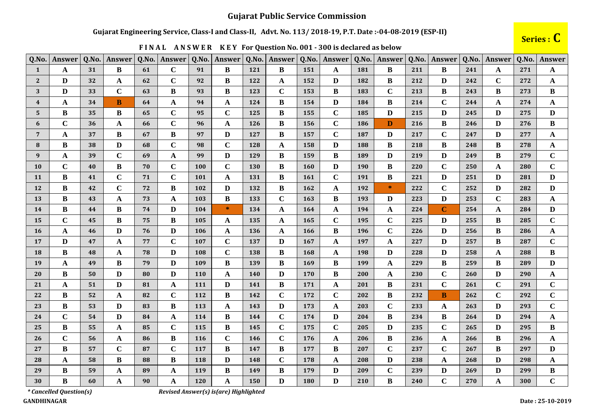#### Gujarat Engineering Service, Class-I and Class-II, Advt. No. 113/2018-19, P.T. Date:-04-08-2019 (ESP-II)

# Series : C

| Q.No.          | Answer      | Q.No.           | Answer       | Q.No. | Answer       | Q.No.      | Answer      | Q.No.      | Answer       | Q.No.      | Answer      | Q.No. | Answer       | Q.No. | Answer      | Q.No. | Answer      | Q.No. | Answer       |
|----------------|-------------|-----------------|--------------|-------|--------------|------------|-------------|------------|--------------|------------|-------------|-------|--------------|-------|-------------|-------|-------------|-------|--------------|
| $\mathbf{1}$   | A           | 31              | B            | 61    | $\mathbf C$  | 91         | B           | 121        | B            | 151        | A           | 181   | B            | 211   | B           | 241   | A           | 271   | A            |
| $\overline{2}$ | D           | 32              | A            | 62    | $\mathbf C$  | 92         | B           | 122        | A            | 152        | D           | 182   | B            | 212   | D           | 242   | $\mathbf C$ | 272   | $\mathbf{A}$ |
| 3              | D           | 33              | $\mathbf C$  | 63    | $\bf{B}$     | 93         | $\bf{B}$    | 123        | $\mathbf C$  | 153        | $\bf{B}$    | 183   | $\mathbf C$  | 213   | $\bf{B}$    | 243   | $\bf{B}$    | 273   | $\bf{B}$     |
| $\overline{4}$ | A           | 34              | B            | 64    | $\mathbf A$  | 94         | A           | 124        | B            | 154        | D           | 184   | $\bf{B}$     | 214   | $\mathbf C$ | 244   | A           | 274   | $\mathbf{A}$ |
| 5              | B           | 35              | B            | 65    | $\mathbf C$  | 95         | $\mathbf C$ | 125        | B            | 155        | $\mathbf C$ | 185   | $\mathbf{D}$ | 215   | D           | 245   | D           | 275   | D            |
| 6              | $\mathbf C$ | 36              | A            | 66    | $\mathbf C$  | 96         | A           | <b>126</b> | B            | <b>156</b> | $\mathbf C$ | 186   | D            | 216   | B           | 246   | D           | 276   | $\bf{B}$     |
| 7              | A           | 37              | B            | 67    | B            | 97         | D           | 127        | B            | 157        | $\mathbf C$ | 187   | D            | 217   | $\mathbf C$ | 247   | D           | 277   | A            |
| 8              | B           | 38              | D            | 68    | $\mathbf C$  | 98         | $\mathbf C$ | 128        | $\mathbf{A}$ | 158        | D           | 188   | $\bf{B}$     | 218   | B           | 248   | B           | 278   | $\mathbf A$  |
| 9              | A           | 39              | $\mathbf C$  | 69    | $\mathbf A$  | 99         | D           | 129        | B            | 159        | B           | 189   | D            | 219   | D           | 249   | B           | 279   | $\mathbf C$  |
| <b>10</b>      | $\mathbf C$ | 40              | B            | 70    | $\mathbf C$  | 100        | $\mathbf C$ | 130        | B            | <b>160</b> | D           | 190   | $\bf{B}$     | 220   | $\mathbf C$ | 250   | A           | 280   | $\mathbf C$  |
| <b>11</b>      | B           | 41              | $\mathbf C$  | 71    | $\mathbf C$  | 101        | A           | 131        | B            | 161        | $\mathbf C$ | 191   | $\bf{B}$     | 221   | D           | 251   | D           | 281   | D            |
| 12             | B           | 42              | $\mathbf C$  | 72    | B            | 102        | D           | 132        | B            | 162        | A           | 192   | $\ast$       | 222   | $\mathbf C$ | 252   | D           | 282   | D            |
| 13             | B           | 43              | A            | 73    | $\mathbf A$  | 103        | B           | 133        | $\mathbf C$  | 163        | $\bf{B}$    | 193   | $\mathbf{D}$ | 223   | D           | 253   | $\mathbf C$ | 283   | $\mathbf A$  |
| 14             | $\bf{B}$    | 44              | B            | 74    | $\mathbf{D}$ | 104        | $\ast$      | 134        | A            | 164        | A           | 194   | A            | 224   | $\mathbf C$ | 254   | A           | 284   | D            |
| 15             | $\mathbf C$ | 45              | B            | 75    | $\bf{B}$     | 105        | A           | 135        | $\mathbf{A}$ | 165        | $\mathbf C$ | 195   | $\mathbf C$  | 225   | D           | 255   | B           | 285   | $\mathbf C$  |
| <b>16</b>      | A           | 46              | D            | 76    | $\mathbf{D}$ | 106        | A           | 136        | A            | 166        | $\bf{B}$    | 196   | $\mathbf C$  | 226   | D           | 256   | B           | 286   | $\mathbf{A}$ |
| 17             | D           | 47              | A            | 77    | $\mathbf C$  | 107        | $\mathbf C$ | 137        | D            | 167        | A           | 197   | $\mathbf A$  | 227   | D           | 257   | $\bf{B}$    | 287   | $\mathbf C$  |
| 18             | B           | 48              | A            | 78    | $\mathbf{D}$ | 108        | $\mathbf C$ | 138        | B            | 168        | A           | 198   | $\mathbf{D}$ | 228   | D           | 258   | A           | 288   | $\bf{B}$     |
| 19             | A           | 49              | B            | 79    | $\mathbf{D}$ | 109        | B           | 139        | B            | 169        | B           | 199   | A            | 229   | B           | 259   | B           | 289   | D            |
| 20             | B           | 50              | D            | 80    | $\mathbf{D}$ | <b>110</b> | A           | <b>140</b> | D            | 170        | B           | 200   | $\mathbf A$  | 230   | $\mathbf C$ | 260   | D           | 290   | $\mathbf A$  |
| 21             | A           | 51              | D            | 81    | $\mathbf A$  | 111        | D           | 141        | B            | 171        | A           | 201   | $\bf{B}$     | 231   | $\mathbf C$ | 261   | $\mathbf C$ | 291   | $\mathbf C$  |
| 22             | B           | 52              | $\mathbf{A}$ | 82    | $\mathbf C$  | 112        | B           | 142        | $\mathbf C$  | 172        | $\mathbf C$ | 202   | $\bf{B}$     | 232   | B           | 262   | $\mathbf C$ | 292   | $\mathbf C$  |
| 23             | $\bf{B}$    | 53              | D            | 83    | $\bf{B}$     | 113        | A           | 143        | D            | 173        | $\mathbf A$ | 203   | $\mathbf C$  | 233   | A           | 263   | D           | 293   | $\mathbf C$  |
| 24             | $\mathbf C$ | 54              | D            | 84    | $\mathbf A$  | 114        | B           | 144        | $\mathbf C$  | 174        | D           | 204   | $\bf{B}$     | 234   | B           | 264   | D           | 294   | A            |
| 25             | B           | 55 <sub>1</sub> | A            | 85    | $\mathbf C$  | 115        | B           | 145        | $\mathbf C$  | 175        | $\mathbf C$ | 205   | D            | 235   | $\mathbf C$ | 265   | D           | 295   | B            |
| 26             | $\mathbf C$ | 56              | A            | 86    | $\bf{B}$     | 116        | $\mathbf C$ | 146        | $\mathbf C$  | 176        | A           | 206   | B            | 236   | A           | 266   | B           | 296   | $\mathbf{A}$ |
| 27             | B           | 57              | $\mathbf C$  | 87    | $\mathbf C$  | 117        | B           | 147        | B            | 177        | $\bf{B}$    | 207   | $\mathbf C$  | 237   | $\mathbf C$ | 267   | B           | 297   | D            |
| 28             | A           | 58              | B            | 88    | B            | 118        | D           | 148        | $\mathbf C$  | 178        | A           | 208   | $\mathbf{D}$ | 238   | $\mathbf A$ | 268   | D           | 298   | $\mathbf A$  |
| 29             | B           | 59              | A            | 89    | $\mathbf A$  | 119        | B           | 149        | B            | 179        | D           | 209   | $\mathbf C$  | 239   | D           | 269   | D           | 299   | B            |
| 30             | B           | 60              | A            | 90    | $\mathbf{A}$ | 120        | A           | 150        | D            | 180        | D           | 210   | $\bf{B}$     | 240   | $\mathbf C$ | 270   | A           | 300   | $\mathbf C$  |

FINAL ANSWER KEY For Question No. 001 - 300 is declared as below

\* Cancelled Question(s)

Revised Answer(s) is(are) Highlighted

**GANDHINAGAR**